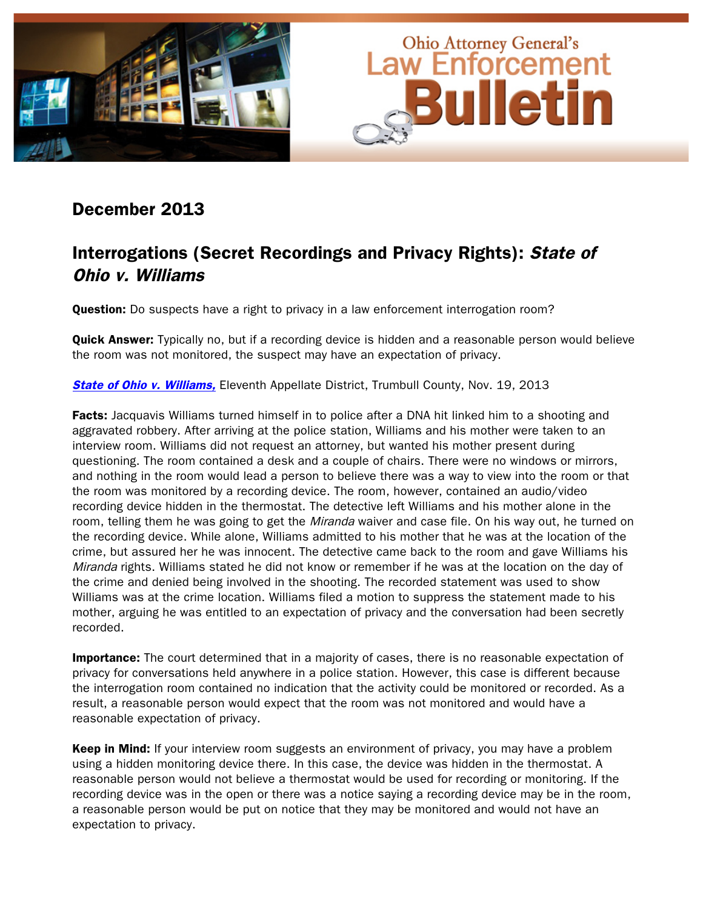

### December 2013

# Interrogations (Secret Recordings and Privacy Rights): State of Ohio v. Williams

Question: Do suspects have a right to privacy in a law enforcement interrogation room?

Quick Answer: Typically no, but if a recording device is hidden and a reasonable person would believe the room was not monitored, the suspect may have an expectation of privacy.

**[State of Ohio v. Williams,](http://www.sconet.state.oh.us/rod/docs/pdf/11/2013/2013-ohio-5076.pdf) Eleventh Appellate District, Trumbull County, Nov. 19, 2013** 

Facts: Jacquavis Williams turned himself in to police after a DNA hit linked him to a shooting and aggravated robbery. After arriving at the police station, Williams and his mother were taken to an interview room. Williams did not request an attorney, but wanted his mother present during questioning. The room contained a desk and a couple of chairs. There were no windows or mirrors, and nothing in the room would lead a person to believe there was a way to view into the room or that the room was monitored by a recording device. The room, however, contained an audio/video recording device hidden in the thermostat. The detective left Williams and his mother alone in the room, telling them he was going to get the *Miranda* waiver and case file. On his way out, he turned on the recording device. While alone, Williams admitted to his mother that he was at the location of the crime, but assured her he was innocent. The detective came back to the room and gave Williams his Miranda rights. Williams stated he did not know or remember if he was at the location on the day of the crime and denied being involved in the shooting. The recorded statement was used to show Williams was at the crime location. Williams filed a motion to suppress the statement made to his mother, arguing he was entitled to an expectation of privacy and the conversation had been secretly recorded.

**Importance:** The court determined that in a majority of cases, there is no reasonable expectation of privacy for conversations held anywhere in a police station. However, this case is different because the interrogation room contained no indication that the activity could be monitored or recorded. As a result, a reasonable person would expect that the room was not monitored and would have a reasonable expectation of privacy.

Keep in Mind: If your interview room suggests an environment of privacy, you may have a problem using a hidden monitoring device there. In this case, the device was hidden in the thermostat. A reasonable person would not believe a thermostat would be used for recording or monitoring. If the recording device was in the open or there was a notice saying a recording device may be in the room, a reasonable person would be put on notice that they may be monitored and would not have an expectation to privacy.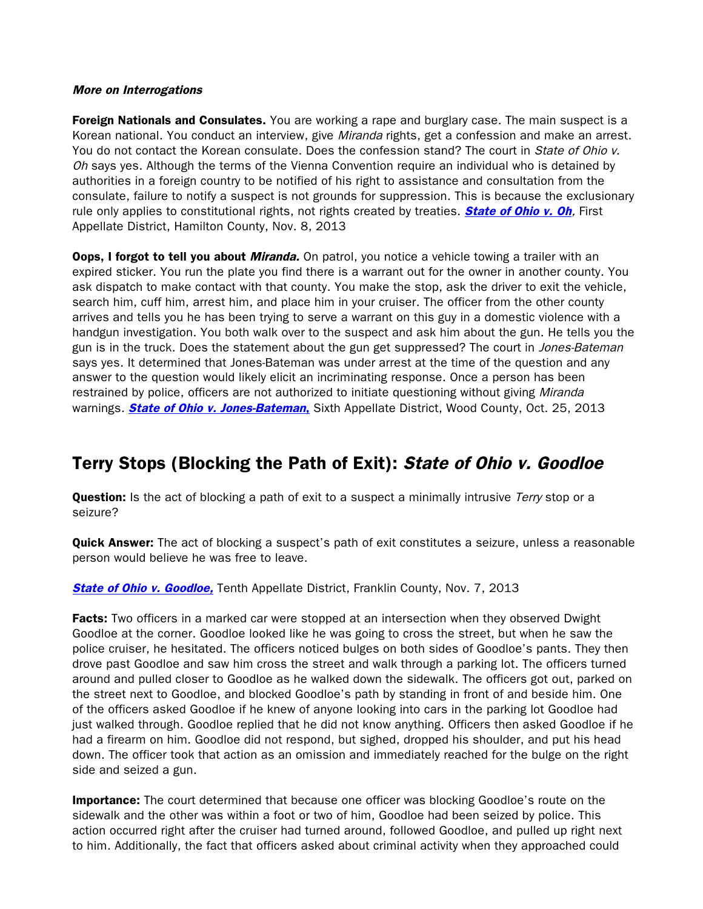#### More on Interrogations

Foreign Nationals and Consulates. You are working a rape and burglary case. The main suspect is a Korean national. You conduct an interview, give *Miranda* rights, get a confession and make an arrest. You do not contact the Korean consulate. Does the confession stand? The court in State of Ohio v. Oh says yes. Although the terms of the Vienna Convention require an individual who is detained by authorities in a foreign country to be notified of his right to assistance and consultation from the consulate, failure to notify a suspect is not grounds for suppression. This is because the exclusionary rule only applies to constitutional rights, not rights created by treaties. **[State of Ohio v. Oh](http://www.sconet.state.oh.us/rod/docs/pdf/1/2013/2013-ohio-4940.pdf)**, First Appellate District, Hamilton County, Nov. 8, 2013

**Oops, I forgot to tell you about** *Miranda.* On patrol, you notice a vehicle towing a trailer with an expired sticker. You run the plate you find there is a warrant out for the owner in another county. You ask dispatch to make contact with that county. You make the stop, ask the driver to exit the vehicle, search him, cuff him, arrest him, and place him in your cruiser. The officer from the other county arrives and tells you he has been trying to serve a warrant on this guy in a domestic violence with a handgun investigation. You both walk over to the suspect and ask him about the gun. He tells you the gun is in the truck. Does the statement about the gun get suppressed? The court in Jones-Bateman says yes. It determined that Jones-Bateman was under arrest at the time of the question and any answer to the question would likely elicit an incriminating response. Once a person has been restrained by police, officers are not authorized to initiate questioning without giving Miranda warnings. **[State of Ohio v. Jones-Bateman](http://www.supremecourt.ohio.gov/rod/docs/pdf/6/2013/2013-ohio-4739.pdf),** Sixth Appellate District, Wood County, Oct. 25, 2013

### Terry Stops (Blocking the Path of Exit): State of Ohio v. Goodloe

**Question:** Is the act of blocking a path of exit to a suspect a minimally intrusive Terry stop or a seizure?

**Quick Answer:** The act of blocking a suspect's path of exit constitutes a seizure, unless a reasonable person would believe he was free to leave.

**[State of Ohio v. Goodloe,](http://www.sconet.state.oh.us/rod/docs/pdf/10/2013/2013-ohio-4934.pdf) Tenth Appellate District, Franklin County, Nov. 7, 2013** 

**Facts:** Two officers in a marked car were stopped at an intersection when they observed Dwight Goodloe at the corner. Goodloe looked like he was going to cross the street, but when he saw the police cruiser, he hesitated. The officers noticed bulges on both sides of Goodloe's pants. They then drove past Goodloe and saw him cross the street and walk through a parking lot. The officers turned around and pulled closer to Goodloe as he walked down the sidewalk. The officers got out, parked on the street next to Goodloe, and blocked Goodloe's path by standing in front of and beside him. One of the officers asked Goodloe if he knew of anyone looking into cars in the parking lot Goodloe had just walked through. Goodloe replied that he did not know anything. Officers then asked Goodloe if he had a firearm on him. Goodloe did not respond, but sighed, dropped his shoulder, and put his head down. The officer took that action as an omission and immediately reached for the bulge on the right side and seized a gun.

**Importance:** The court determined that because one officer was blocking Goodloe's route on the sidewalk and the other was within a foot or two of him, Goodloe had been seized by police. This action occurred right after the cruiser had turned around, followed Goodloe, and pulled up right next to him. Additionally, the fact that officers asked about criminal activity when they approached could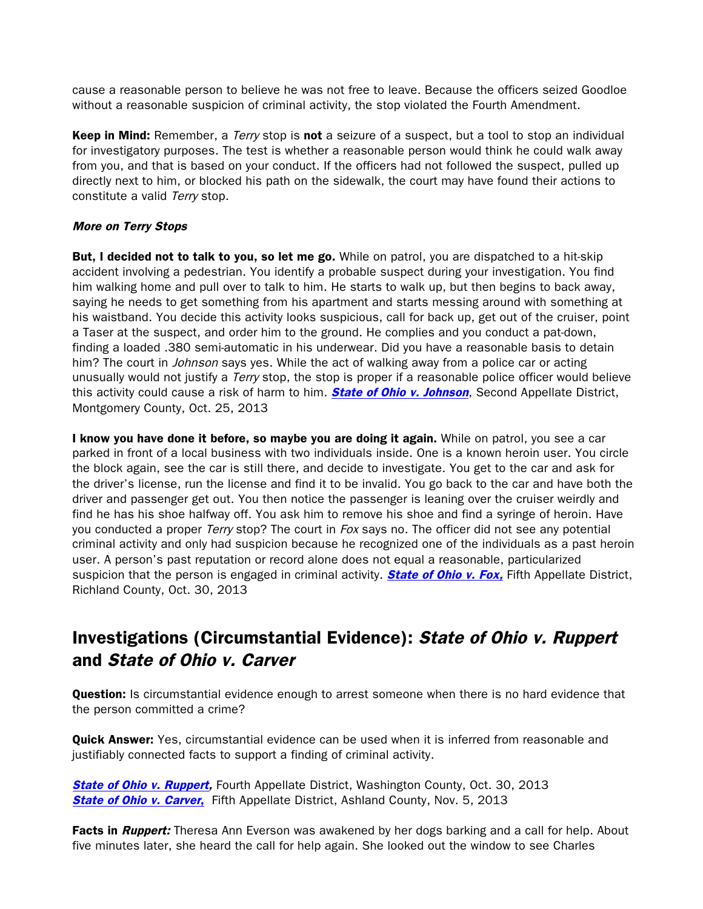cause a reasonable person to believe he was not free to leave. Because the officers seized Goodloe without a reasonable suspicion of criminal activity, the stop violated the Fourth Amendment.

**Keep in Mind:** Remember, a *Terry* stop is **not** a seizure of a suspect, but a tool to stop an individual for investigatory purposes. The test is whether a reasonable person would think he could walk away from you, and that is based on your conduct. If the officers had not followed the suspect, pulled up directly next to him, or blocked his path on the sidewalk, the court may have found their actions to constitute a valid Terry stop.

### More on Terry Stops

**But, I decided not to talk to you, so let me go.** While on patrol, you are dispatched to a hit-skip accident involving a pedestrian. You identify a probable suspect during your investigation. You find him walking home and pull over to talk to him. He starts to walk up, but then begins to back away, saying he needs to get something from his apartment and starts messing around with something at his waistband. You decide this activity looks suspicious, call for back up, get out of the cruiser, point a Taser at the suspect, and order him to the ground. He complies and you conduct a pat-down, finding a loaded .380 semi-automatic in his underwear. Did you have a reasonable basis to detain him? The court in *Johnson* says yes. While the act of walking away from a police car or acting unusually would not justify a Terry stop, the stop is proper if a reasonable police officer would believe this activity could cause a risk of harm to him. **[State of Ohio v. Johnson](http://www.supremecourt.ohio.gov/rod/docs/pdf/2/2013/2013-ohio-4729.pdf)**, Second Appellate District, Montgomery County, Oct. 25, 2013

I know you have done it before, so maybe you are doing it again. While on patrol, you see a car parked in front of a local business with two individuals inside. One is a known heroin user. You circle the block again, see the car is still there, and decide to investigate. You get to the car and ask for the driver's license, run the license and find it to be invalid. You go back to the car and have both the driver and passenger get out. You then notice the passenger is leaning over the cruiser weirdly and find he has his shoe halfway off. You ask him to remove his shoe and find a syringe of heroin. Have you conducted a proper Terry stop? The court in Fox says no. The officer did not see any potential criminal activity and only had suspicion because he recognized one of the individuals as a past heroin user. A person's past reputation or record alone does not equal a reasonable, particularized suspicion that the person is engaged in criminal activity. **State of Ohio v. Fox**, Fifth Appellate District, Richland County, Oct. 30, 2013

# Investigations (Circumstantial Evidence): State of Ohio v. Ruppert and State of Ohio v. Carver

**Question:** Is circumstantial evidence enough to arrest someone when there is no hard evidence that the person committed a crime?

**Quick Answer:** Yes, circumstantial evidence can be used when it is inferred from reasonable and justifiably connected facts to support a finding of criminal activity.

**[State of Ohio v. Ruppert,](http://www.sconet.state.oh.us/rod/docs/pdf/4/2013/2013-ohio-4878.pdf)** Fourth Appellate District, Washington County, Oct. 30, 2013 **[State of Ohio v. Carver](http://www.sconet.state.oh.us/rod/docs/pdf/5/2013/2013-ohio-4900.pdf),** Fifth Appellate District, Ashland County, Nov. 5, 2013

Facts in *Ruppert:* Theresa Ann Everson was awakened by her dogs barking and a call for help. About five minutes later, she heard the call for help again. She looked out the window to see Charles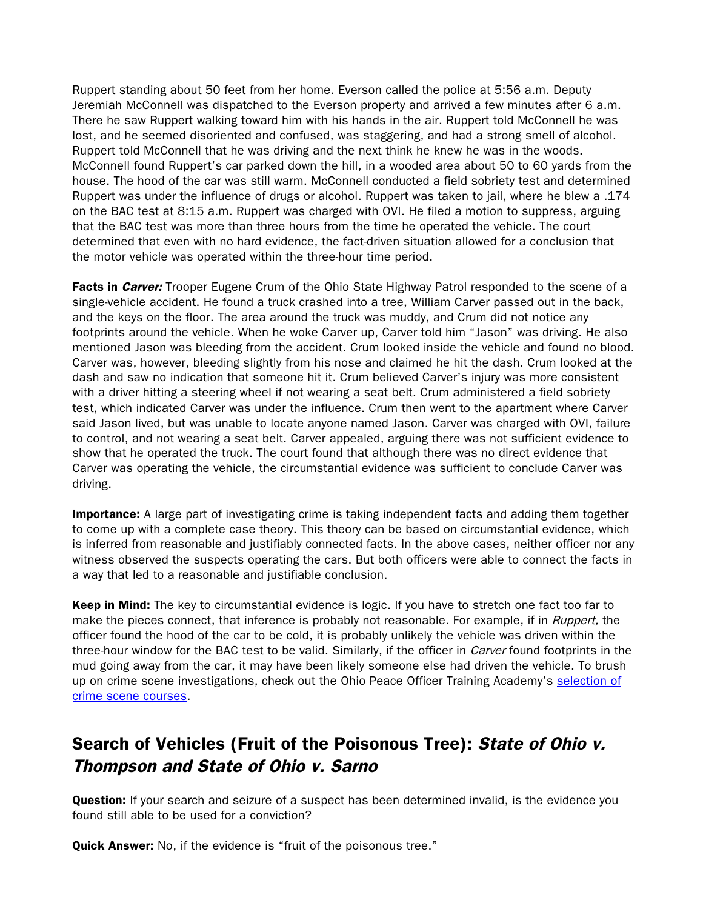Ruppert standing about 50 feet from her home. Everson called the police at 5:56 a.m. Deputy Jeremiah McConnell was dispatched to the Everson property and arrived a few minutes after 6 a.m. There he saw Ruppert walking toward him with his hands in the air. Ruppert told McConnell he was lost, and he seemed disoriented and confused, was staggering, and had a strong smell of alcohol. Ruppert told McConnell that he was driving and the next think he knew he was in the woods. McConnell found Ruppert's car parked down the hill, in a wooded area about 50 to 60 yards from the house. The hood of the car was still warm. McConnell conducted a field sobriety test and determined Ruppert was under the influence of drugs or alcohol. Ruppert was taken to jail, where he blew a .174 on the BAC test at 8:15 a.m. Ruppert was charged with OVI. He filed a motion to suppress, arguing that the BAC test was more than three hours from the time he operated the vehicle. The court determined that even with no hard evidence, the fact-driven situation allowed for a conclusion that the motor vehicle was operated within the three-hour time period.

Facts in *Carver:* Trooper Eugene Crum of the Ohio State Highway Patrol responded to the scene of a single-vehicle accident. He found a truck crashed into a tree, William Carver passed out in the back, and the keys on the floor. The area around the truck was muddy, and Crum did not notice any footprints around the vehicle. When he woke Carver up, Carver told him "Jason" was driving. He also mentioned Jason was bleeding from the accident. Crum looked inside the vehicle and found no blood. Carver was, however, bleeding slightly from his nose and claimed he hit the dash. Crum looked at the dash and saw no indication that someone hit it. Crum believed Carver's injury was more consistent with a driver hitting a steering wheel if not wearing a seat belt. Crum administered a field sobriety test, which indicated Carver was under the influence. Crum then went to the apartment where Carver said Jason lived, but was unable to locate anyone named Jason. Carver was charged with OVI, failure to control, and not wearing a seat belt. Carver appealed, arguing there was not sufficient evidence to show that he operated the truck. The court found that although there was no direct evidence that Carver was operating the vehicle, the circumstantial evidence was sufficient to conclude Carver was driving.

**Importance:** A large part of investigating crime is taking independent facts and adding them together to come up with a complete case theory. This theory can be based on circumstantial evidence, which is inferred from reasonable and justifiably connected facts. In the above cases, neither officer nor any witness observed the suspects operating the cars. But both officers were able to connect the facts in a way that led to a reasonable and justifiable conclusion.

Keep in Mind: The key to circumstantial evidence is logic. If you have to stretch one fact too far to make the pieces connect, that inference is probably not reasonable. For example, if in Ruppert, the officer found the hood of the car to be cold, it is probably unlikely the vehicle was driven within the three-hour window for the BAC test to be valid. Similarly, if the officer in *Carver* found footprints in the mud going away from the car, it may have been likely someone else had driven the vehicle. To brush up on crime scene investigations, check out the Ohio Peace Officer Training Academy's [selection of](http://www.ohioattorneygeneral.gov/Law-Enforcement/Ohio-Peace-Officer-Training-Academy/Course-Catalog/Course-Categories/Crime-Scene-Courses)  [crime scene courses.](http://www.ohioattorneygeneral.gov/Law-Enforcement/Ohio-Peace-Officer-Training-Academy/Course-Catalog/Course-Categories/Crime-Scene-Courses)

# Search of Vehicles (Fruit of the Poisonous Tree): State of Ohio v. Thompson and State of Ohio v. Sarno

**Question:** If your search and seizure of a suspect has been determined invalid, is the evidence you found still able to be used for a conviction?

**Quick Answer:** No, if the evidence is "fruit of the poisonous tree."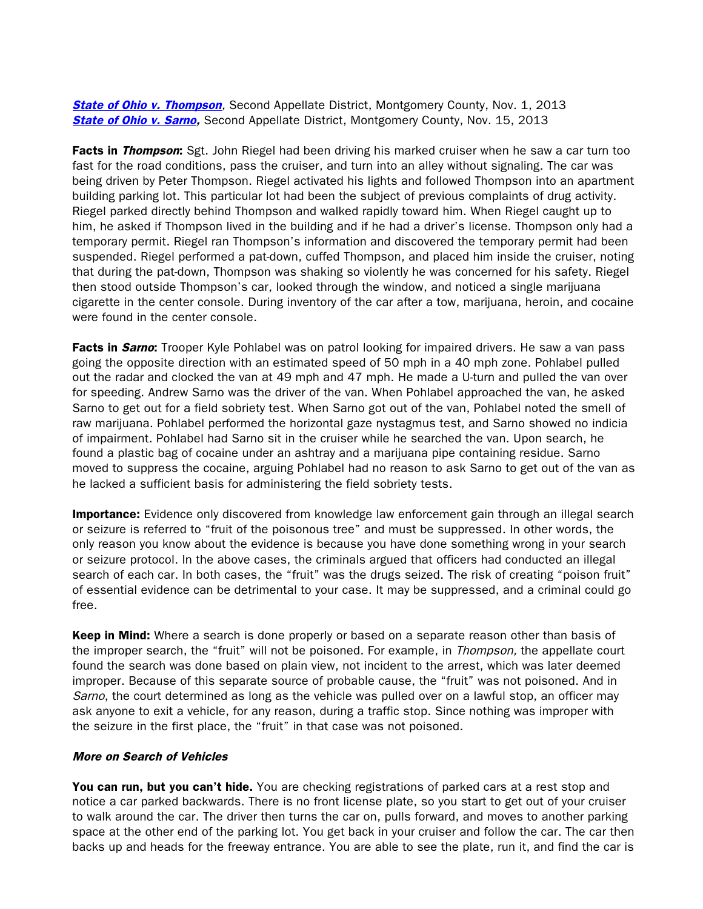**[State of Ohio v. Thompson](http://www.supremecourt.ohio.gov/rod/docs/pdf/2/2013/2013-ohio-4825.pdf),** Second Appellate District, Montgomery County, Nov. 1, 2013 **[State of Ohio v. Sarno,](http://www.supremecourt.ohio.gov/rod/docs/pdf/2/2013/2013-ohio-5058.pdf)** Second Appellate District, Montgomery County, Nov. 15, 2013

Facts in Thompson: Sgt. John Riegel had been driving his marked cruiser when he saw a car turn too fast for the road conditions, pass the cruiser, and turn into an alley without signaling. The car was being driven by Peter Thompson. Riegel activated his lights and followed Thompson into an apartment building parking lot. This particular lot had been the subject of previous complaints of drug activity. Riegel parked directly behind Thompson and walked rapidly toward him. When Riegel caught up to him, he asked if Thompson lived in the building and if he had a driver's license. Thompson only had a temporary permit. Riegel ran Thompson's information and discovered the temporary permit had been suspended. Riegel performed a pat-down, cuffed Thompson, and placed him inside the cruiser, noting that during the pat-down, Thompson was shaking so violently he was concerned for his safety. Riegel then stood outside Thompson's car, looked through the window, and noticed a single marijuana cigarette in the center console. During inventory of the car after a tow, marijuana, heroin, and cocaine were found in the center console.

Facts in Sarno: Trooper Kyle Pohlabel was on patrol looking for impaired drivers. He saw a van pass going the opposite direction with an estimated speed of 50 mph in a 40 mph zone. Pohlabel pulled out the radar and clocked the van at 49 mph and 47 mph. He made a U-turn and pulled the van over for speeding. Andrew Sarno was the driver of the van. When Pohlabel approached the van, he asked Sarno to get out for a field sobriety test. When Sarno got out of the van, Pohlabel noted the smell of raw marijuana. Pohlabel performed the horizontal gaze nystagmus test, and Sarno showed no indicia of impairment. Pohlabel had Sarno sit in the cruiser while he searched the van. Upon search, he found a plastic bag of cocaine under an ashtray and a marijuana pipe containing residue. Sarno moved to suppress the cocaine, arguing Pohlabel had no reason to ask Sarno to get out of the van as he lacked a sufficient basis for administering the field sobriety tests.

**Importance:** Evidence only discovered from knowledge law enforcement gain through an illegal search or seizure is referred to "fruit of the poisonous tree" and must be suppressed. In other words, the only reason you know about the evidence is because you have done something wrong in your search or seizure protocol. In the above cases, the criminals argued that officers had conducted an illegal search of each car. In both cases, the "fruit" was the drugs seized. The risk of creating "poison fruit" of essential evidence can be detrimental to your case. It may be suppressed, and a criminal could go free.

**Keep in Mind:** Where a search is done properly or based on a separate reason other than basis of the improper search, the "fruit" will not be poisoned. For example, in Thompson, the appellate court found the search was done based on plain view, not incident to the arrest, which was later deemed improper. Because of this separate source of probable cause, the "fruit" was not poisoned. And in Sarno, the court determined as long as the vehicle was pulled over on a lawful stop, an officer may ask anyone to exit a vehicle, for any reason, during a traffic stop. Since nothing was improper with the seizure in the first place, the "fruit" in that case was not poisoned.

#### More on Search of Vehicles

You can run, but you can't hide. You are checking registrations of parked cars at a rest stop and notice a car parked backwards. There is no front license plate, so you start to get out of your cruiser to walk around the car. The driver then turns the car on, pulls forward, and moves to another parking space at the other end of the parking lot. You get back in your cruiser and follow the car. The car then backs up and heads for the freeway entrance. You are able to see the plate, run it, and find the car is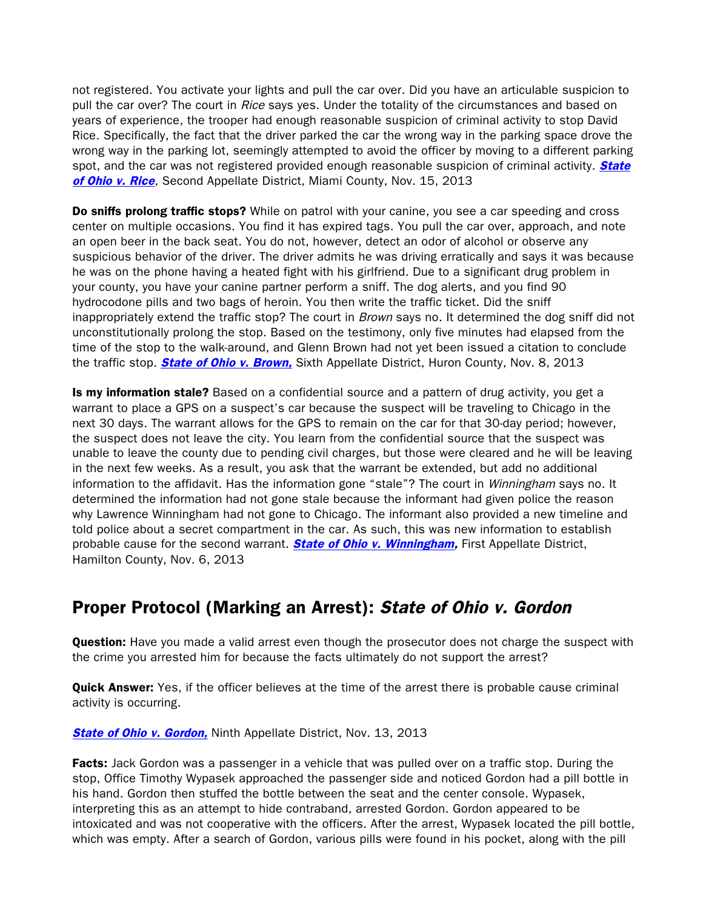not registered. You activate your lights and pull the car over. Did you have an articulable suspicion to pull the car over? The court in Rice says yes. Under the totality of the circumstances and based on years of experience, the trooper had enough reasonable suspicion of criminal activity to stop David Rice. Specifically, the fact that the driver parked the car the wrong way in the parking space drove the wrong way in the parking lot, seemingly attempted to avoid the officer by moving to a different parking spot, and the car was not registered provided enough reasonable suspicion of criminal activity. **State** [of Ohio v. Rice](http://www.supremecourt.ohio.gov/rod/docs/pdf/2/2013/2013-ohio-5056.pdf), Second Appellate District, Miami County, Nov. 15, 2013

**Do sniffs prolong traffic stops?** While on patrol with your canine, you see a car speeding and cross center on multiple occasions. You find it has expired tags. You pull the car over, approach, and note an open beer in the back seat. You do not, however, detect an odor of alcohol or observe any suspicious behavior of the driver. The driver admits he was driving erratically and says it was because he was on the phone having a heated fight with his girlfriend. Due to a significant drug problem in your county, you have your canine partner perform a sniff. The dog alerts, and you find 90 hydrocodone pills and two bags of heroin. You then write the traffic ticket. Did the sniff inappropriately extend the traffic stop? The court in *Brown* says no. It determined the dog sniff did not unconstitutionally prolong the stop. Based on the testimony, only five minutes had elapsed from the time of the stop to the walk-around, and Glenn Brown had not yet been issued a citation to conclude the traffic stop. **[State of Ohio v. Brown,](http://www.sconet.state.oh.us/rod/docs/pdf/6/2013/2013-ohio-4952.pdf)** Sixth Appellate District, Huron County, Nov. 8, 2013

Is my information stale? Based on a confidential source and a pattern of drug activity, you get a warrant to place a GPS on a suspect's car because the suspect will be traveling to Chicago in the next 30 days. The warrant allows for the GPS to remain on the car for that 30-day period; however, the suspect does not leave the city. You learn from the confidential source that the suspect was unable to leave the county due to pending civil charges, but those were cleared and he will be leaving in the next few weeks. As a result, you ask that the warrant be extended, but add no additional information to the affidavit. Has the information gone "stale"? The court in *Winningham* says no. It determined the information had not gone stale because the informant had given police the reason why Lawrence Winningham had not gone to Chicago. The informant also provided a new timeline and told police about a secret compartment in the car. As such, this was new information to establish probable cause for the second warrant. **State of Ohio v. Winningham**, First Appellate District, Hamilton County, Nov. 6, 2013

### Proper Protocol (Marking an Arrest): State of Ohio v. Gordon

**Question:** Have you made a valid arrest even though the prosecutor does not charge the suspect with the crime you arrested him for because the facts ultimately do not support the arrest?

**Quick Answer:** Yes, if the officer believes at the time of the arrest there is probable cause criminal activity is occurring.

**[State of Ohio v. Gordon,](http://www.sconet.state.oh.us/rod/docs/pdf/9/2013/2013-ohio-4997.pdf) Ninth Appellate District, Nov. 13, 2013** 

**Facts:** Jack Gordon was a passenger in a vehicle that was pulled over on a traffic stop. During the stop, Office Timothy Wypasek approached the passenger side and noticed Gordon had a pill bottle in his hand. Gordon then stuffed the bottle between the seat and the center console. Wypasek, interpreting this as an attempt to hide contraband, arrested Gordon. Gordon appeared to be intoxicated and was not cooperative with the officers. After the arrest, Wypasek located the pill bottle, which was empty. After a search of Gordon, various pills were found in his pocket, along with the pill